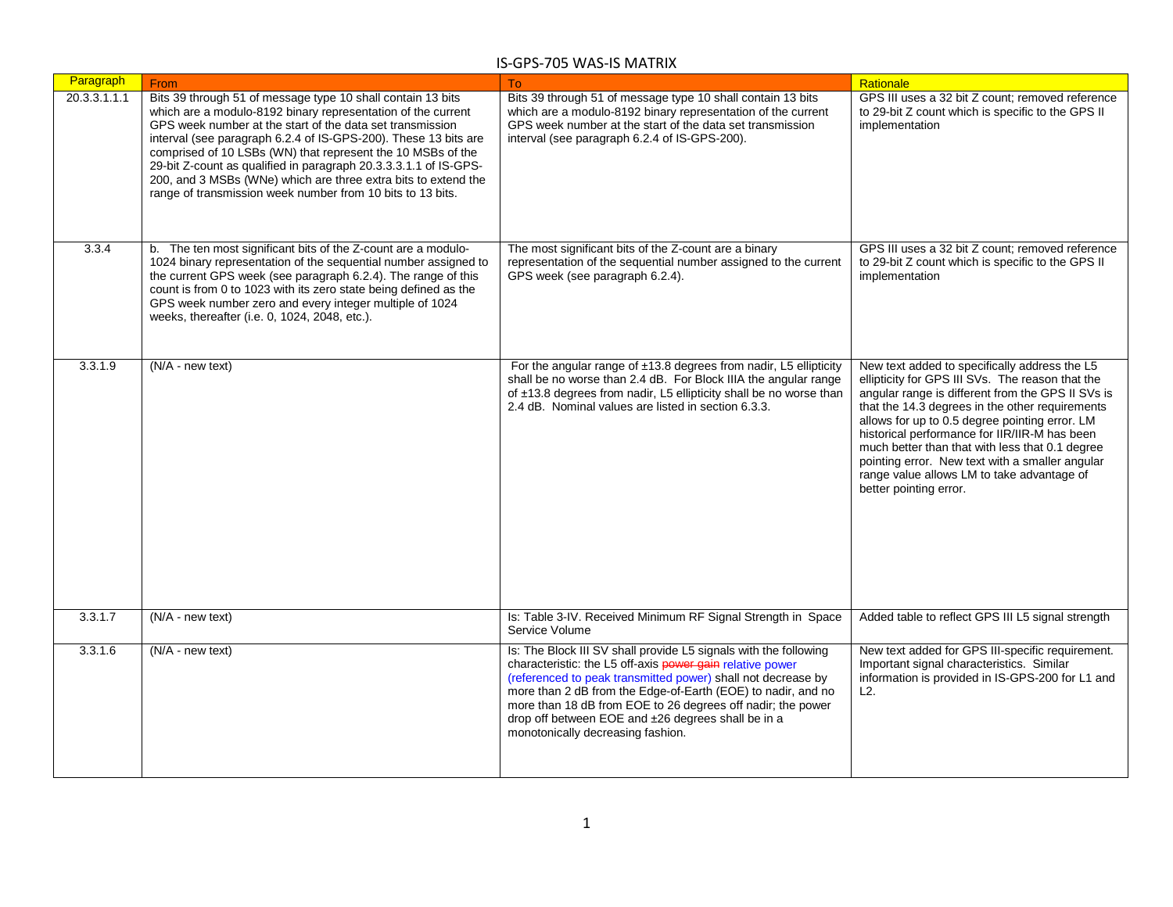| Paragraph    | From                                                                                                                                                                                                                                                                                                                                                                                                                                                                                                                           | To                                                                                                                                                                                                                                                                                                                                                                                                                      | Rationale                                                                                                                                                                                                                                                                                                                                                                                                                                                                                  |
|--------------|--------------------------------------------------------------------------------------------------------------------------------------------------------------------------------------------------------------------------------------------------------------------------------------------------------------------------------------------------------------------------------------------------------------------------------------------------------------------------------------------------------------------------------|-------------------------------------------------------------------------------------------------------------------------------------------------------------------------------------------------------------------------------------------------------------------------------------------------------------------------------------------------------------------------------------------------------------------------|--------------------------------------------------------------------------------------------------------------------------------------------------------------------------------------------------------------------------------------------------------------------------------------------------------------------------------------------------------------------------------------------------------------------------------------------------------------------------------------------|
| 20.3.3.1.1.1 | Bits 39 through 51 of message type 10 shall contain 13 bits<br>which are a modulo-8192 binary representation of the current<br>GPS week number at the start of the data set transmission<br>interval (see paragraph 6.2.4 of IS-GPS-200). These 13 bits are<br>comprised of 10 LSBs (WN) that represent the 10 MSBs of the<br>29-bit Z-count as qualified in paragraph 20.3.3.3.1.1 of IS-GPS-<br>200, and 3 MSBs (WNe) which are three extra bits to extend the<br>range of transmission week number from 10 bits to 13 bits. | Bits 39 through 51 of message type 10 shall contain 13 bits<br>which are a modulo-8192 binary representation of the current<br>GPS week number at the start of the data set transmission<br>interval (see paragraph 6.2.4 of IS-GPS-200).                                                                                                                                                                               | GPS III uses a 32 bit Z count; removed reference<br>to 29-bit Z count which is specific to the GPS II<br>implementation                                                                                                                                                                                                                                                                                                                                                                    |
| 3.3.4        | b. The ten most significant bits of the Z-count are a modulo-<br>1024 binary representation of the sequential number assigned to<br>the current GPS week (see paragraph 6.2.4). The range of this<br>count is from 0 to 1023 with its zero state being defined as the<br>GPS week number zero and every integer multiple of 1024<br>weeks, thereafter (i.e. 0, 1024, 2048, etc.).                                                                                                                                              | The most significant bits of the Z-count are a binary<br>representation of the sequential number assigned to the current<br>GPS week (see paragraph 6.2.4).                                                                                                                                                                                                                                                             | GPS III uses a 32 bit Z count; removed reference<br>to 29-bit Z count which is specific to the GPS II<br>implementation                                                                                                                                                                                                                                                                                                                                                                    |
| 3.3.1.9      | (N/A - new text)                                                                                                                                                                                                                                                                                                                                                                                                                                                                                                               | For the angular range of ±13.8 degrees from nadir, L5 ellipticity<br>shall be no worse than 2.4 dB. For Block IIIA the angular range<br>of ±13.8 degrees from nadir, L5 ellipticity shall be no worse than<br>2.4 dB. Nominal values are listed in section 6.3.3.                                                                                                                                                       | New text added to specifically address the L5<br>ellipticity for GPS III SVs. The reason that the<br>angular range is different from the GPS II SVs is<br>that the 14.3 degrees in the other requirements<br>allows for up to 0.5 degree pointing error. LM<br>historical performance for IIR/IIR-M has been<br>much better than that with less that 0.1 degree<br>pointing error. New text with a smaller angular<br>range value allows LM to take advantage of<br>better pointing error. |
| 3.3.1.7      | (N/A - new text)                                                                                                                                                                                                                                                                                                                                                                                                                                                                                                               | Is: Table 3-IV. Received Minimum RF Signal Strength in Space<br>Service Volume                                                                                                                                                                                                                                                                                                                                          | Added table to reflect GPS III L5 signal strength                                                                                                                                                                                                                                                                                                                                                                                                                                          |
| 3.3.1.6      | (N/A - new text)                                                                                                                                                                                                                                                                                                                                                                                                                                                                                                               | Is: The Block III SV shall provide L5 signals with the following<br>characteristic: the L5 off-axis power gain relative power<br>(referenced to peak transmitted power) shall not decrease by<br>more than 2 dB from the Edge-of-Earth (EOE) to nadir, and no<br>more than 18 dB from EOE to 26 degrees off nadir; the power<br>drop off between EOE and ±26 degrees shall be in a<br>monotonically decreasing fashion. | New text added for GPS III-specific requirement.<br>Important signal characteristics. Similar<br>information is provided in IS-GPS-200 for L1 and<br>L2.                                                                                                                                                                                                                                                                                                                                   |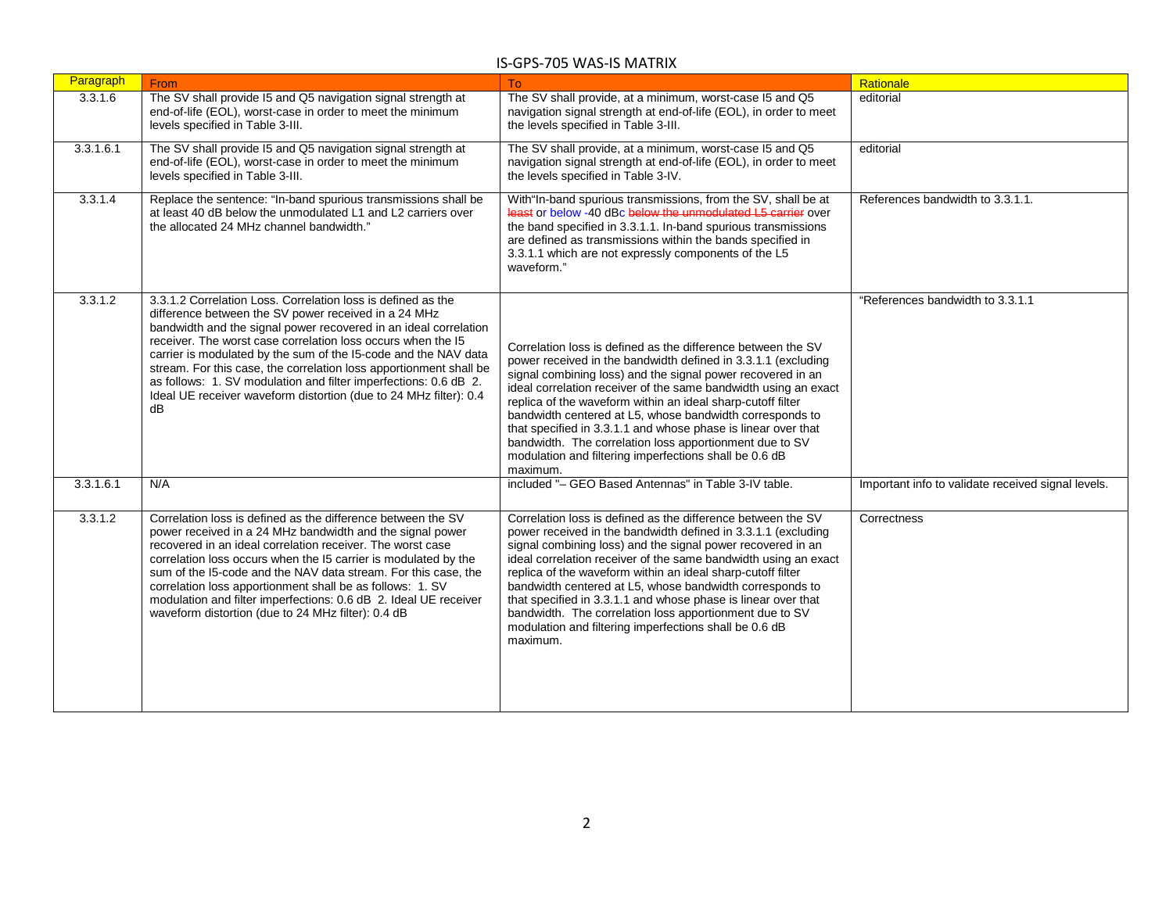| Paragraph | From                                                                                                                                                                                                                                                                                                                                                                                                                                                                                                                                             | <b>To</b>                                                                                                                                                                                                                                                                                                                                                                                                                                                                                                                                                                                    | Rationale                                          |
|-----------|--------------------------------------------------------------------------------------------------------------------------------------------------------------------------------------------------------------------------------------------------------------------------------------------------------------------------------------------------------------------------------------------------------------------------------------------------------------------------------------------------------------------------------------------------|----------------------------------------------------------------------------------------------------------------------------------------------------------------------------------------------------------------------------------------------------------------------------------------------------------------------------------------------------------------------------------------------------------------------------------------------------------------------------------------------------------------------------------------------------------------------------------------------|----------------------------------------------------|
| 3.3.1.6   | The SV shall provide I5 and Q5 navigation signal strength at<br>end-of-life (EOL), worst-case in order to meet the minimum<br>levels specified in Table 3-III.                                                                                                                                                                                                                                                                                                                                                                                   | The SV shall provide, at a minimum, worst-case I5 and Q5<br>navigation signal strength at end-of-life (EOL), in order to meet<br>the levels specified in Table 3-III.                                                                                                                                                                                                                                                                                                                                                                                                                        | editorial                                          |
| 3.3.1.6.1 | The SV shall provide I5 and Q5 navigation signal strength at<br>end-of-life (EOL), worst-case in order to meet the minimum<br>levels specified in Table 3-III.                                                                                                                                                                                                                                                                                                                                                                                   | The SV shall provide, at a minimum, worst-case I5 and Q5<br>navigation signal strength at end-of-life (EOL), in order to meet<br>the levels specified in Table 3-IV.                                                                                                                                                                                                                                                                                                                                                                                                                         | editorial                                          |
| 3.3.1.4   | Replace the sentence: "In-band spurious transmissions shall be<br>at least 40 dB below the unmodulated L1 and L2 carriers over<br>the allocated 24 MHz channel bandwidth."                                                                                                                                                                                                                                                                                                                                                                       | With"In-band spurious transmissions, from the SV, shall be at<br>least or below -40 dBc below the unmodulated L5 carrier over<br>the band specified in 3.3.1.1. In-band spurious transmissions<br>are defined as transmissions within the bands specified in<br>3.3.1.1 which are not expressly components of the L5<br>waveform."                                                                                                                                                                                                                                                           | References bandwidth to 3.3.1.1.                   |
| 3.3.1.2   | 3.3.1.2 Correlation Loss. Correlation loss is defined as the<br>difference between the SV power received in a 24 MHz<br>bandwidth and the signal power recovered in an ideal correlation<br>receiver. The worst case correlation loss occurs when the I5<br>carrier is modulated by the sum of the I5-code and the NAV data<br>stream. For this case, the correlation loss apportionment shall be<br>as follows: 1. SV modulation and filter imperfections: 0.6 dB 2.<br>Ideal UE receiver waveform distortion (due to 24 MHz filter): 0.4<br>dB | Correlation loss is defined as the difference between the SV<br>power received in the bandwidth defined in 3.3.1.1 (excluding<br>signal combining loss) and the signal power recovered in an<br>ideal correlation receiver of the same bandwidth using an exact<br>replica of the waveform within an ideal sharp-cutoff filter<br>bandwidth centered at L5, whose bandwidth corresponds to<br>that specified in 3.3.1.1 and whose phase is linear over that<br>bandwidth. The correlation loss apportionment due to SV<br>modulation and filtering imperfections shall be 0.6 dB<br>maximum. | "References bandwidth to 3.3.1.1                   |
| 3.3.1.6.1 | N/A                                                                                                                                                                                                                                                                                                                                                                                                                                                                                                                                              | included "- GEO Based Antennas" in Table 3-IV table.                                                                                                                                                                                                                                                                                                                                                                                                                                                                                                                                         | Important info to validate received signal levels. |
| 3.3.1.2   | Correlation loss is defined as the difference between the SV<br>power received in a 24 MHz bandwidth and the signal power<br>recovered in an ideal correlation receiver. The worst case<br>correlation loss occurs when the I5 carrier is modulated by the<br>sum of the I5-code and the NAV data stream. For this case, the<br>correlation loss apportionment shall be as follows: 1. SV<br>modulation and filter imperfections: 0.6 dB 2. Ideal UE receiver<br>waveform distortion (due to 24 MHz filter): 0.4 dB                              | Correlation loss is defined as the difference between the SV<br>power received in the bandwidth defined in 3.3.1.1 (excluding<br>signal combining loss) and the signal power recovered in an<br>ideal correlation receiver of the same bandwidth using an exact<br>replica of the waveform within an ideal sharp-cutoff filter<br>bandwidth centered at L5, whose bandwidth corresponds to<br>that specified in 3.3.1.1 and whose phase is linear over that<br>bandwidth. The correlation loss apportionment due to SV<br>modulation and filtering imperfections shall be 0.6 dB<br>maximum. | Correctness                                        |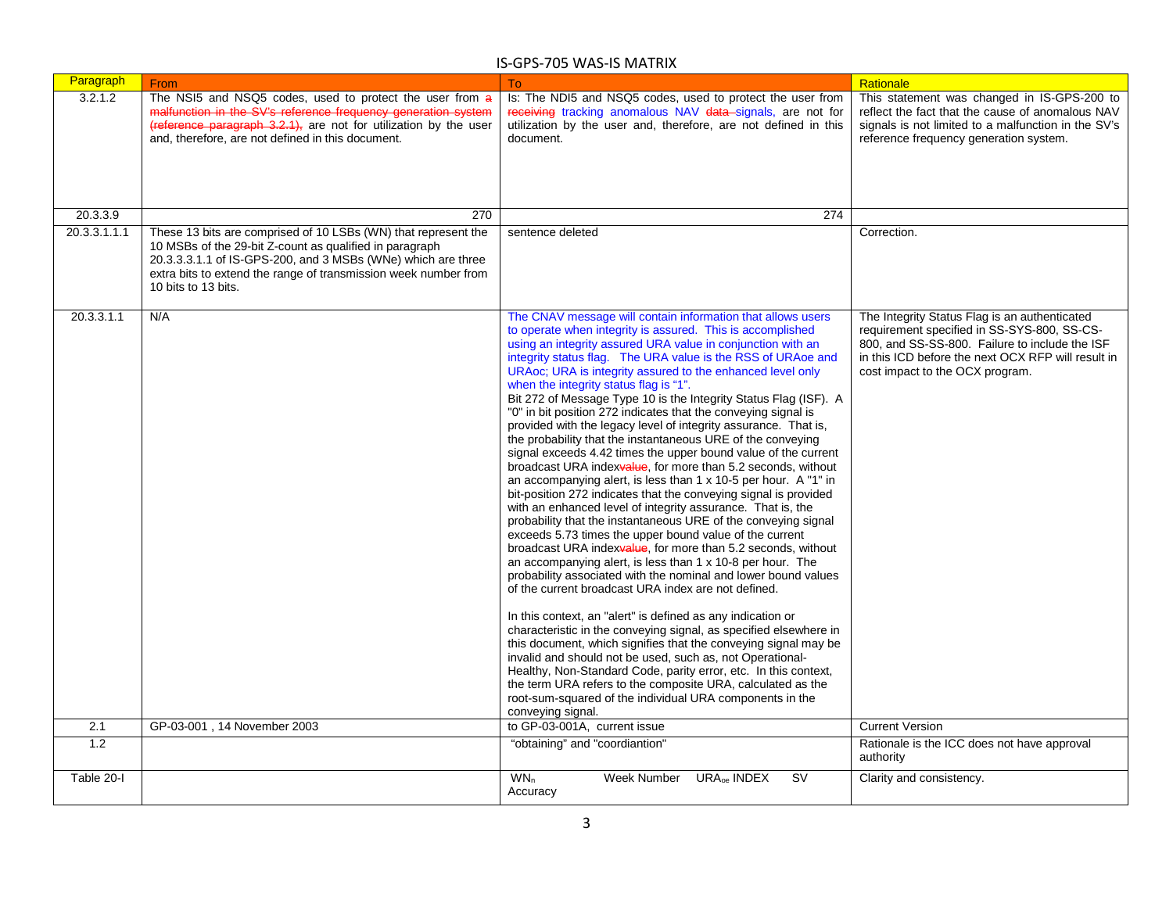| Paragraph    | From                                                                                                                                                                                                                                                                                | To                                                                                                                                                                                                                                                                                                                                                                                                                                                                                                                                                                                                                                                                                                                                                                                                                                                                                                                                                                                                                                                                                                                                                                                                                                                                                                                                                                                                                                                                                                                                                                                                                                                                                                                                                                                                                                                          | Rationale                                                                                                                                                                                                                               |
|--------------|-------------------------------------------------------------------------------------------------------------------------------------------------------------------------------------------------------------------------------------------------------------------------------------|-------------------------------------------------------------------------------------------------------------------------------------------------------------------------------------------------------------------------------------------------------------------------------------------------------------------------------------------------------------------------------------------------------------------------------------------------------------------------------------------------------------------------------------------------------------------------------------------------------------------------------------------------------------------------------------------------------------------------------------------------------------------------------------------------------------------------------------------------------------------------------------------------------------------------------------------------------------------------------------------------------------------------------------------------------------------------------------------------------------------------------------------------------------------------------------------------------------------------------------------------------------------------------------------------------------------------------------------------------------------------------------------------------------------------------------------------------------------------------------------------------------------------------------------------------------------------------------------------------------------------------------------------------------------------------------------------------------------------------------------------------------------------------------------------------------------------------------------------------------|-----------------------------------------------------------------------------------------------------------------------------------------------------------------------------------------------------------------------------------------|
| 3.2.1.2      | The NSI5 and NSQ5 codes, used to protect the user from a<br>malfunction in the SV's reference frequency generation system<br>(reference paragraph 3.2.1), are not for utilization by the user<br>and, therefore, are not defined in this document.                                  | Is: The NDI5 and NSQ5 codes, used to protect the user from<br>receiving tracking anomalous NAV data signals, are not for<br>utilization by the user and, therefore, are not defined in this<br>document.                                                                                                                                                                                                                                                                                                                                                                                                                                                                                                                                                                                                                                                                                                                                                                                                                                                                                                                                                                                                                                                                                                                                                                                                                                                                                                                                                                                                                                                                                                                                                                                                                                                    | This statement was changed in IS-GPS-200 to<br>reflect the fact that the cause of anomalous NAV<br>signals is not limited to a malfunction in the SV's<br>reference frequency generation system.                                        |
| 20.3.3.9     | 270                                                                                                                                                                                                                                                                                 | 274                                                                                                                                                                                                                                                                                                                                                                                                                                                                                                                                                                                                                                                                                                                                                                                                                                                                                                                                                                                                                                                                                                                                                                                                                                                                                                                                                                                                                                                                                                                                                                                                                                                                                                                                                                                                                                                         |                                                                                                                                                                                                                                         |
| 20.3.3.1.1.1 | These 13 bits are comprised of 10 LSBs (WN) that represent the<br>10 MSBs of the 29-bit Z-count as qualified in paragraph<br>20.3.3.3.1.1 of IS-GPS-200, and 3 MSBs (WNe) which are three<br>extra bits to extend the range of transmission week number from<br>10 bits to 13 bits. | sentence deleted                                                                                                                                                                                                                                                                                                                                                                                                                                                                                                                                                                                                                                                                                                                                                                                                                                                                                                                                                                                                                                                                                                                                                                                                                                                                                                                                                                                                                                                                                                                                                                                                                                                                                                                                                                                                                                            | Correction.                                                                                                                                                                                                                             |
| 20.3.3.1.1   | N/A                                                                                                                                                                                                                                                                                 | The CNAV message will contain information that allows users<br>to operate when integrity is assured. This is accomplished<br>using an integrity assured URA value in conjunction with an<br>integrity status flag. The URA value is the RSS of URAoe and<br>URAoc; URA is integrity assured to the enhanced level only<br>when the integrity status flag is "1".<br>Bit 272 of Message Type 10 is the Integrity Status Flag (ISF). A<br>"0" in bit position 272 indicates that the conveying signal is<br>provided with the legacy level of integrity assurance. That is,<br>the probability that the instantaneous URE of the conveying<br>signal exceeds 4.42 times the upper bound value of the current<br>broadcast URA indexvalue, for more than 5.2 seconds, without<br>an accompanying alert, is less than 1 x 10-5 per hour. A "1" in<br>bit-position 272 indicates that the conveying signal is provided<br>with an enhanced level of integrity assurance. That is, the<br>probability that the instantaneous URE of the conveying signal<br>exceeds 5.73 times the upper bound value of the current<br>broadcast URA indexvalue, for more than 5.2 seconds, without<br>an accompanying alert, is less than 1 x 10-8 per hour. The<br>probability associated with the nominal and lower bound values<br>of the current broadcast URA index are not defined.<br>In this context, an "alert" is defined as any indication or<br>characteristic in the conveying signal, as specified elsewhere in<br>this document, which signifies that the conveying signal may be<br>invalid and should not be used, such as, not Operational-<br>Healthy, Non-Standard Code, parity error, etc. In this context,<br>the term URA refers to the composite URA, calculated as the<br>root-sum-squared of the individual URA components in the<br>conveying signal. | The Integrity Status Flag is an authenticated<br>requirement specified in SS-SYS-800, SS-CS-<br>800, and SS-SS-800. Failure to include the ISF<br>in this ICD before the next OCX RFP will result in<br>cost impact to the OCX program. |
| 2.1          | GP-03-001, 14 November 2003                                                                                                                                                                                                                                                         | to GP-03-001A, current issue                                                                                                                                                                                                                                                                                                                                                                                                                                                                                                                                                                                                                                                                                                                                                                                                                                                                                                                                                                                                                                                                                                                                                                                                                                                                                                                                                                                                                                                                                                                                                                                                                                                                                                                                                                                                                                | <b>Current Version</b>                                                                                                                                                                                                                  |
| 1.2          |                                                                                                                                                                                                                                                                                     | "obtaining" and "coordiantion"                                                                                                                                                                                                                                                                                                                                                                                                                                                                                                                                                                                                                                                                                                                                                                                                                                                                                                                                                                                                                                                                                                                                                                                                                                                                                                                                                                                                                                                                                                                                                                                                                                                                                                                                                                                                                              | Rationale is the ICC does not have approval<br>authority                                                                                                                                                                                |
| Table 20-I   |                                                                                                                                                                                                                                                                                     | WN <sub>n</sub><br>Week Number<br><b>URA<sub>ce</sub></b> INDEX<br><b>SV</b><br>Accuracy                                                                                                                                                                                                                                                                                                                                                                                                                                                                                                                                                                                                                                                                                                                                                                                                                                                                                                                                                                                                                                                                                                                                                                                                                                                                                                                                                                                                                                                                                                                                                                                                                                                                                                                                                                    | Clarity and consistency.                                                                                                                                                                                                                |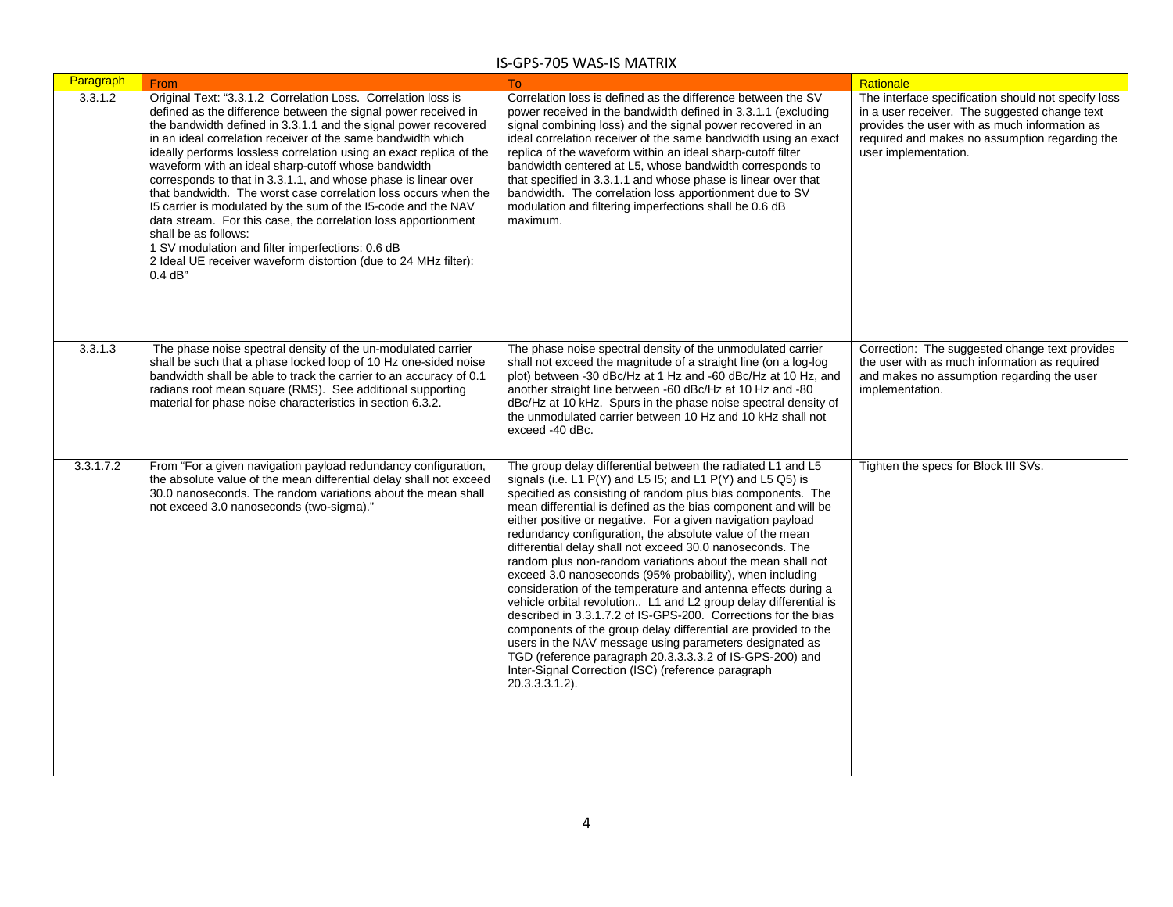| Paragraph | From                                                                                                                                                                                                                                                                                                                                                                                                                                                                                                                                                                                                                                                                                                                                                                                                                                 | <b>To</b>                                                                                                                                                                                                                                                                                                                                                                                                                                                                                                                                                                                                                                                                                                                                                                                                                                                                                                                                                                                                                                                | Rationale                                                                                                                                                                                                                       |
|-----------|--------------------------------------------------------------------------------------------------------------------------------------------------------------------------------------------------------------------------------------------------------------------------------------------------------------------------------------------------------------------------------------------------------------------------------------------------------------------------------------------------------------------------------------------------------------------------------------------------------------------------------------------------------------------------------------------------------------------------------------------------------------------------------------------------------------------------------------|----------------------------------------------------------------------------------------------------------------------------------------------------------------------------------------------------------------------------------------------------------------------------------------------------------------------------------------------------------------------------------------------------------------------------------------------------------------------------------------------------------------------------------------------------------------------------------------------------------------------------------------------------------------------------------------------------------------------------------------------------------------------------------------------------------------------------------------------------------------------------------------------------------------------------------------------------------------------------------------------------------------------------------------------------------|---------------------------------------------------------------------------------------------------------------------------------------------------------------------------------------------------------------------------------|
| 3.3.1.2   | Original Text: "3.3.1.2 Correlation Loss. Correlation loss is<br>defined as the difference between the signal power received in<br>the bandwidth defined in 3.3.1.1 and the signal power recovered<br>in an ideal correlation receiver of the same bandwidth which<br>ideally performs lossless correlation using an exact replica of the<br>waveform with an ideal sharp-cutoff whose bandwidth<br>corresponds to that in 3.3.1.1, and whose phase is linear over<br>that bandwidth. The worst case correlation loss occurs when the<br>15 carrier is modulated by the sum of the 15-code and the NAV<br>data stream. For this case, the correlation loss apportionment<br>shall be as follows:<br>1 SV modulation and filter imperfections: 0.6 dB<br>2 Ideal UE receiver waveform distortion (due to 24 MHz filter):<br>$0.4$ dB" | Correlation loss is defined as the difference between the SV<br>power received in the bandwidth defined in 3.3.1.1 (excluding<br>signal combining loss) and the signal power recovered in an<br>ideal correlation receiver of the same bandwidth using an exact<br>replica of the waveform within an ideal sharp-cutoff filter<br>bandwidth centered at L5, whose bandwidth corresponds to<br>that specified in 3.3.1.1 and whose phase is linear over that<br>bandwidth. The correlation loss apportionment due to SV<br>modulation and filtering imperfections shall be 0.6 dB<br>maximum.                                                                                                                                                                                                                                                                                                                                                                                                                                                             | The interface specification should not specify loss<br>in a user receiver. The suggested change text<br>provides the user with as much information as<br>required and makes no assumption regarding the<br>user implementation. |
| 3.3.1.3   | The phase noise spectral density of the un-modulated carrier<br>shall be such that a phase locked loop of 10 Hz one-sided noise<br>bandwidth shall be able to track the carrier to an accuracy of 0.1<br>radians root mean square (RMS). See additional supporting<br>material for phase noise characteristics in section 6.3.2.                                                                                                                                                                                                                                                                                                                                                                                                                                                                                                     | The phase noise spectral density of the unmodulated carrier<br>shall not exceed the magnitude of a straight line (on a log-log<br>plot) between -30 dBc/Hz at 1 Hz and -60 dBc/Hz at 10 Hz, and<br>another straight line between -60 dBc/Hz at 10 Hz and -80<br>dBc/Hz at 10 kHz. Spurs in the phase noise spectral density of<br>the unmodulated carrier between 10 Hz and 10 kHz shall not<br>exceed -40 dBc.                                                                                                                                                                                                                                                                                                                                                                                                                                                                                                                                                                                                                                          | Correction: The suggested change text provides<br>the user with as much information as required<br>and makes no assumption regarding the user<br>implementation.                                                                |
| 3.3.1.7.2 | From "For a given navigation payload redundancy configuration,<br>the absolute value of the mean differential delay shall not exceed<br>30.0 nanoseconds. The random variations about the mean shall<br>not exceed 3.0 nanoseconds (two-sigma)."                                                                                                                                                                                                                                                                                                                                                                                                                                                                                                                                                                                     | The group delay differential between the radiated L1 and L5<br>signals (i.e. L1 $P(Y)$ and L5 I5; and L1 $P(Y)$ and L5 Q5) is<br>specified as consisting of random plus bias components. The<br>mean differential is defined as the bias component and will be<br>either positive or negative. For a given navigation payload<br>redundancy configuration, the absolute value of the mean<br>differential delay shall not exceed 30.0 nanoseconds. The<br>random plus non-random variations about the mean shall not<br>exceed 3.0 nanoseconds (95% probability), when including<br>consideration of the temperature and antenna effects during a<br>vehicle orbital revolution L1 and L2 group delay differential is<br>described in 3.3.1.7.2 of IS-GPS-200. Corrections for the bias<br>components of the group delay differential are provided to the<br>users in the NAV message using parameters designated as<br>TGD (reference paragraph 20.3.3.3.3.2 of IS-GPS-200) and<br>Inter-Signal Correction (ISC) (reference paragraph<br>20.3.3.3.1.2). | Tighten the specs for Block III SVs.                                                                                                                                                                                            |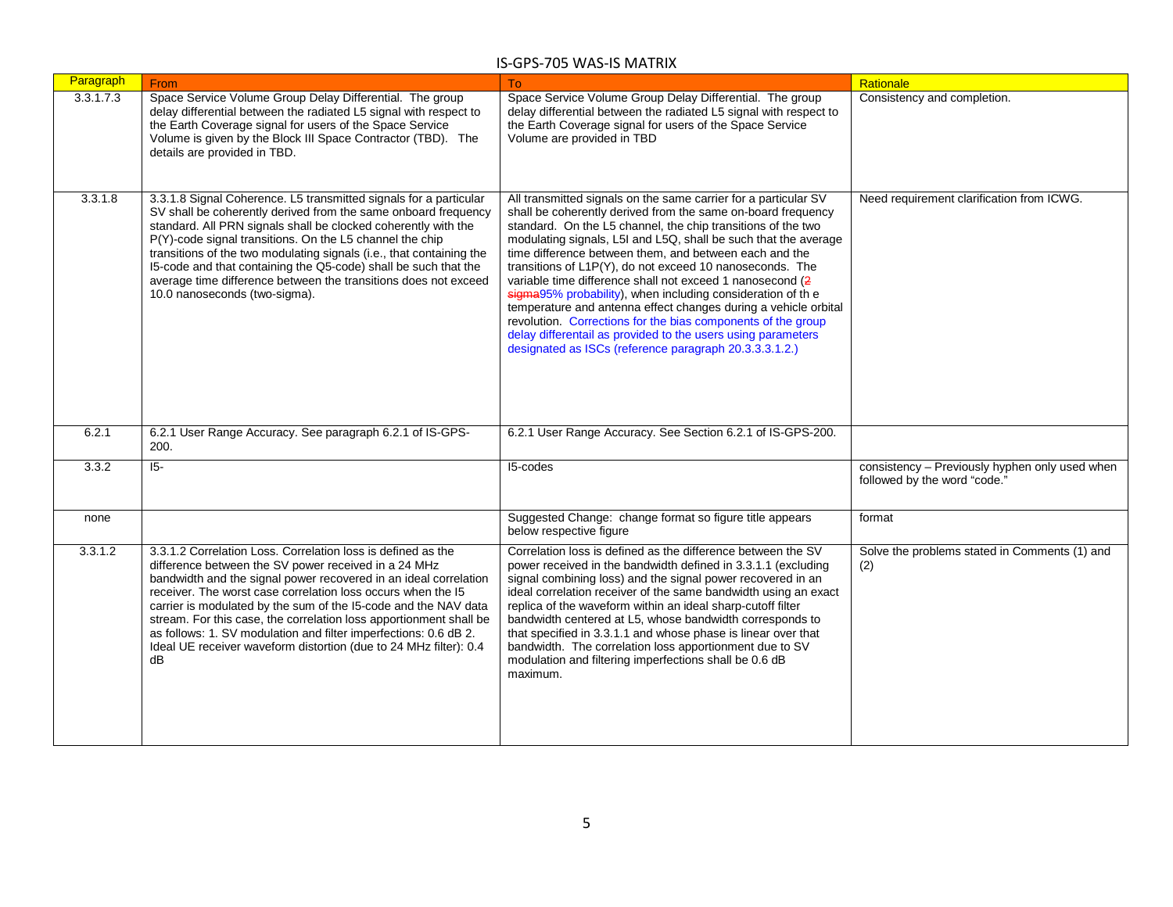| Paragraph | From                                                                                                                                                                                                                                                                                                                                                                                                                                                                                                                                             | To                                                                                                                                                                                                                                                                                                                                                                                                                                                                                                                                                                                                                                                                                                                                                                               | Rationale                                                                      |
|-----------|--------------------------------------------------------------------------------------------------------------------------------------------------------------------------------------------------------------------------------------------------------------------------------------------------------------------------------------------------------------------------------------------------------------------------------------------------------------------------------------------------------------------------------------------------|----------------------------------------------------------------------------------------------------------------------------------------------------------------------------------------------------------------------------------------------------------------------------------------------------------------------------------------------------------------------------------------------------------------------------------------------------------------------------------------------------------------------------------------------------------------------------------------------------------------------------------------------------------------------------------------------------------------------------------------------------------------------------------|--------------------------------------------------------------------------------|
| 3.3.1.7.3 | Space Service Volume Group Delay Differential. The group<br>delay differential between the radiated L5 signal with respect to<br>the Earth Coverage signal for users of the Space Service<br>Volume is given by the Block III Space Contractor (TBD). The<br>details are provided in TBD.                                                                                                                                                                                                                                                        | Space Service Volume Group Delay Differential. The group<br>delay differential between the radiated L5 signal with respect to<br>the Earth Coverage signal for users of the Space Service<br>Volume are provided in TBD                                                                                                                                                                                                                                                                                                                                                                                                                                                                                                                                                          | Consistency and completion.                                                    |
| 3.3.1.8   | 3.3.1.8 Signal Coherence. L5 transmitted signals for a particular<br>SV shall be coherently derived from the same onboard frequency<br>standard. All PRN signals shall be clocked coherently with the<br>P(Y)-code signal transitions. On the L5 channel the chip<br>transitions of the two modulating signals (i.e., that containing the<br>15-code and that containing the Q5-code) shall be such that the<br>average time difference between the transitions does not exceed<br>10.0 nanoseconds (two-sigma).                                 | All transmitted signals on the same carrier for a particular SV<br>shall be coherently derived from the same on-board frequency<br>standard. On the L5 channel, the chip transitions of the two<br>modulating signals, L5I and L5Q, shall be such that the average<br>time difference between them, and between each and the<br>transitions of L1P(Y), do not exceed 10 nanoseconds. The<br>variable time difference shall not exceed 1 nanosecond (2<br>sigma95% probability), when including consideration of the<br>temperature and antenna effect changes during a vehicle orbital<br>revolution. Corrections for the bias components of the group<br>delay differentail as provided to the users using parameters<br>designated as ISCs (reference paragraph 20.3.3.3.1.2.) | Need requirement clarification from ICWG.                                      |
| 6.2.1     | 6.2.1 User Range Accuracy. See paragraph 6.2.1 of IS-GPS-<br>200.                                                                                                                                                                                                                                                                                                                                                                                                                                                                                | 6.2.1 User Range Accuracy. See Section 6.2.1 of IS-GPS-200.                                                                                                                                                                                                                                                                                                                                                                                                                                                                                                                                                                                                                                                                                                                      |                                                                                |
| 3.3.2     | $\overline{5}$                                                                                                                                                                                                                                                                                                                                                                                                                                                                                                                                   | I5-codes                                                                                                                                                                                                                                                                                                                                                                                                                                                                                                                                                                                                                                                                                                                                                                         | consistency - Previously hyphen only used when<br>followed by the word "code." |
| none      |                                                                                                                                                                                                                                                                                                                                                                                                                                                                                                                                                  | Suggested Change: change format so figure title appears<br>below respective figure                                                                                                                                                                                                                                                                                                                                                                                                                                                                                                                                                                                                                                                                                               | format                                                                         |
| 3.3.1.2   | 3.3.1.2 Correlation Loss. Correlation loss is defined as the<br>difference between the SV power received in a 24 MHz<br>bandwidth and the signal power recovered in an ideal correlation<br>receiver. The worst case correlation loss occurs when the 15<br>carrier is modulated by the sum of the I5-code and the NAV data<br>stream. For this case, the correlation loss apportionment shall be<br>as follows: 1. SV modulation and filter imperfections: 0.6 dB 2.<br>Ideal UE receiver waveform distortion (due to 24 MHz filter): 0.4<br>dB | Correlation loss is defined as the difference between the SV<br>power received in the bandwidth defined in 3.3.1.1 (excluding<br>signal combining loss) and the signal power recovered in an<br>ideal correlation receiver of the same bandwidth using an exact<br>replica of the waveform within an ideal sharp-cutoff filter<br>bandwidth centered at L5, whose bandwidth corresponds to<br>that specified in 3.3.1.1 and whose phase is linear over that<br>bandwidth. The correlation loss apportionment due to SV<br>modulation and filtering imperfections shall be 0.6 dB<br>maximum.                                                                                                                                                                                     | Solve the problems stated in Comments (1) and<br>(2)                           |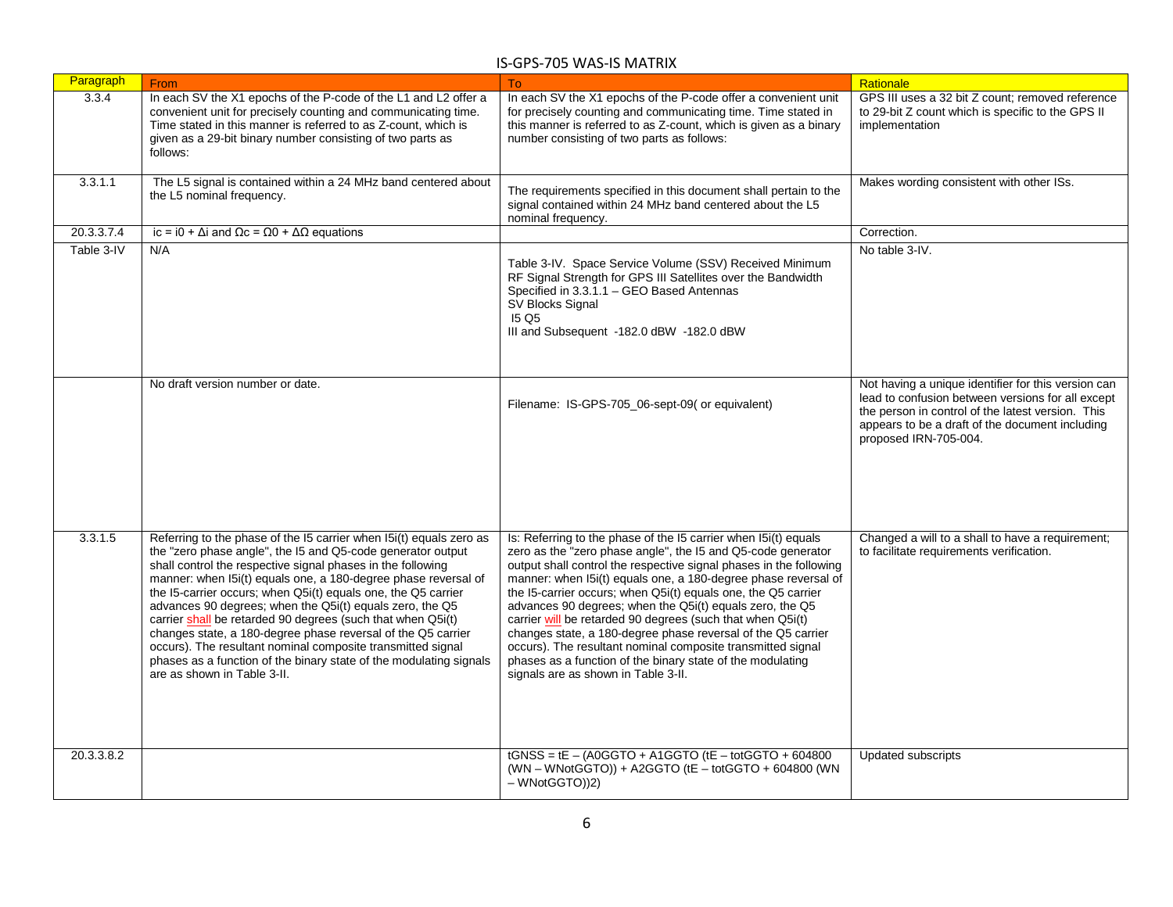| Paragraph  | <b>From</b>                                                                                                                                                                                                                                                                                                                                                                                                                                                                                                                                                                                                                                                                                         | To:                                                                                                                                                                                                                                                                                                                                                                                                                                                                                                                                                                                                                                                                                                    | Rationale                                                                                                                                                                                                                                 |
|------------|-----------------------------------------------------------------------------------------------------------------------------------------------------------------------------------------------------------------------------------------------------------------------------------------------------------------------------------------------------------------------------------------------------------------------------------------------------------------------------------------------------------------------------------------------------------------------------------------------------------------------------------------------------------------------------------------------------|--------------------------------------------------------------------------------------------------------------------------------------------------------------------------------------------------------------------------------------------------------------------------------------------------------------------------------------------------------------------------------------------------------------------------------------------------------------------------------------------------------------------------------------------------------------------------------------------------------------------------------------------------------------------------------------------------------|-------------------------------------------------------------------------------------------------------------------------------------------------------------------------------------------------------------------------------------------|
| 3.3.4      | In each SV the X1 epochs of the P-code of the L1 and L2 offer a<br>convenient unit for precisely counting and communicating time.<br>Time stated in this manner is referred to as Z-count, which is<br>given as a 29-bit binary number consisting of two parts as<br>follows:                                                                                                                                                                                                                                                                                                                                                                                                                       | In each SV the X1 epochs of the P-code offer a convenient unit<br>for precisely counting and communicating time. Time stated in<br>this manner is referred to as Z-count, which is given as a binary<br>number consisting of two parts as follows:                                                                                                                                                                                                                                                                                                                                                                                                                                                     | GPS III uses a 32 bit Z count; removed reference<br>to 29-bit Z count which is specific to the GPS II<br>implementation                                                                                                                   |
| 3.3.1.1    | The L5 signal is contained within a 24 MHz band centered about<br>the L5 nominal frequency.                                                                                                                                                                                                                                                                                                                                                                                                                                                                                                                                                                                                         | The requirements specified in this document shall pertain to the<br>signal contained within 24 MHz band centered about the L5<br>nominal frequency.                                                                                                                                                                                                                                                                                                                                                                                                                                                                                                                                                    | Makes wording consistent with other ISs.                                                                                                                                                                                                  |
| 20.3.3.7.4 | ic = i0 + $\Delta i$ and $\Omega$ c = $\Omega$ 0 + $\Delta \Omega$ equations                                                                                                                                                                                                                                                                                                                                                                                                                                                                                                                                                                                                                        |                                                                                                                                                                                                                                                                                                                                                                                                                                                                                                                                                                                                                                                                                                        | Correction.                                                                                                                                                                                                                               |
| Table 3-IV | N/A                                                                                                                                                                                                                                                                                                                                                                                                                                                                                                                                                                                                                                                                                                 | Table 3-IV. Space Service Volume (SSV) Received Minimum<br>RF Signal Strength for GPS III Satellites over the Bandwidth<br>Specified in 3.3.1.1 - GEO Based Antennas<br>SV Blocks Signal<br><b>15 Q5</b><br>III and Subsequent -182.0 dBW -182.0 dBW                                                                                                                                                                                                                                                                                                                                                                                                                                                   | No table 3-IV.                                                                                                                                                                                                                            |
|            | No draft version number or date.                                                                                                                                                                                                                                                                                                                                                                                                                                                                                                                                                                                                                                                                    | Filename: IS-GPS-705 06-sept-09( or equivalent)                                                                                                                                                                                                                                                                                                                                                                                                                                                                                                                                                                                                                                                        | Not having a unique identifier for this version can<br>lead to confusion between versions for all except<br>the person in control of the latest version. This<br>appears to be a draft of the document including<br>proposed IRN-705-004. |
| 3.3.1.5    | Referring to the phase of the I5 carrier when I5i(t) equals zero as<br>the "zero phase angle", the I5 and Q5-code generator output<br>shall control the respective signal phases in the following<br>manner: when I5i(t) equals one, a 180-degree phase reversal of<br>the I5-carrier occurs; when Q5i(t) equals one, the Q5 carrier<br>advances 90 degrees; when the Q5i(t) equals zero, the Q5<br>carrier shall be retarded 90 degrees (such that when Q5i(t)<br>changes state, a 180-degree phase reversal of the Q5 carrier<br>occurs). The resultant nominal composite transmitted signal<br>phases as a function of the binary state of the modulating signals<br>are as shown in Table 3-II. | Is: Referring to the phase of the I5 carrier when I5i(t) equals<br>zero as the "zero phase angle", the I5 and Q5-code generator<br>output shall control the respective signal phases in the following<br>manner: when I5i(t) equals one, a 180-degree phase reversal of<br>the I5-carrier occurs; when Q5i(t) equals one, the Q5 carrier<br>advances 90 degrees; when the Q5i(t) equals zero, the Q5<br>carrier will be retarded 90 degrees (such that when Q5i(t)<br>changes state, a 180-degree phase reversal of the Q5 carrier<br>occurs). The resultant nominal composite transmitted signal<br>phases as a function of the binary state of the modulating<br>signals are as shown in Table 3-II. | Changed a will to a shall to have a requirement;<br>to facilitate requirements verification.                                                                                                                                              |
| 20.3.3.8.2 |                                                                                                                                                                                                                                                                                                                                                                                                                                                                                                                                                                                                                                                                                                     | $tGNSS = tE - (AOGGTO + A1GGTO)(tE - totGGTO + 604800)$<br>(WN - WNotGGTO)) + A2GGTO (tE - totGGTO + 604800 (WN<br>- WNotGGTO))2)                                                                                                                                                                                                                                                                                                                                                                                                                                                                                                                                                                      | <b>Updated subscripts</b>                                                                                                                                                                                                                 |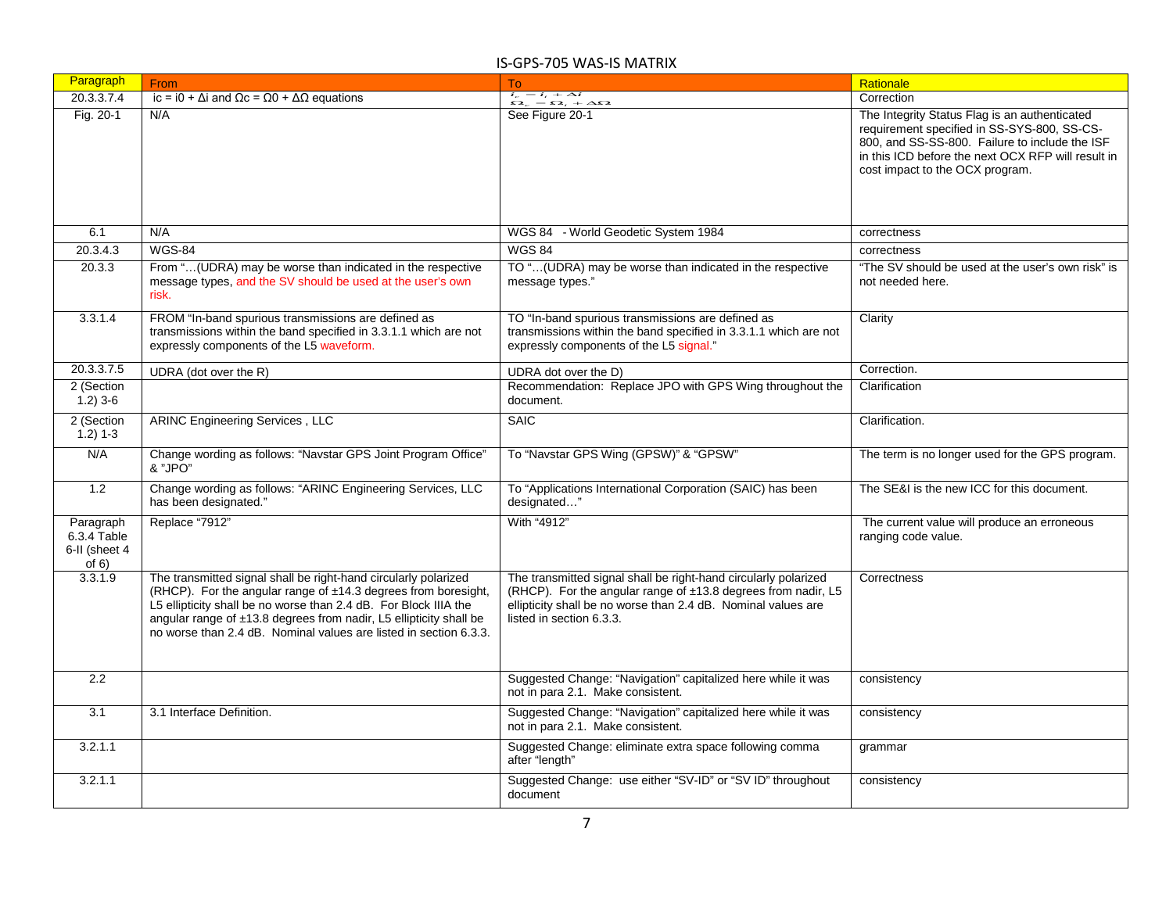| Paragraph                                          | From                                                                                                                                                                                                                                                                                                                                             | To                                                                                                                                                                                                                            | Rationale                                                                                                                                                                                                                               |
|----------------------------------------------------|--------------------------------------------------------------------------------------------------------------------------------------------------------------------------------------------------------------------------------------------------------------------------------------------------------------------------------------------------|-------------------------------------------------------------------------------------------------------------------------------------------------------------------------------------------------------------------------------|-----------------------------------------------------------------------------------------------------------------------------------------------------------------------------------------------------------------------------------------|
| 20.3.3.7.4                                         | ic = i0 + $\Delta$ i and $\Omega$ c = $\Omega$ 0 + $\Delta\Omega$ equations                                                                                                                                                                                                                                                                      | $i_e = i_i + \Delta i$<br>$\Omega_e = \Omega_t + \Delta \Omega$                                                                                                                                                               | Correction                                                                                                                                                                                                                              |
| Fig. 20-1                                          | N/A                                                                                                                                                                                                                                                                                                                                              | See Figure 20-1                                                                                                                                                                                                               | The Integrity Status Flag is an authenticated<br>requirement specified in SS-SYS-800, SS-CS-<br>800, and SS-SS-800. Failure to include the ISF<br>in this ICD before the next OCX RFP will result in<br>cost impact to the OCX program. |
| 6.1                                                | N/A                                                                                                                                                                                                                                                                                                                                              | WGS 84 - World Geodetic System 1984                                                                                                                                                                                           | correctness                                                                                                                                                                                                                             |
| 20.3.4.3                                           | <b>WGS-84</b>                                                                                                                                                                                                                                                                                                                                    | <b>WGS 84</b>                                                                                                                                                                                                                 | correctness                                                                                                                                                                                                                             |
| 20.3.3                                             | From "(UDRA) may be worse than indicated in the respective<br>message types, and the SV should be used at the user's own<br>risk.                                                                                                                                                                                                                | TO "(UDRA) may be worse than indicated in the respective<br>message types."                                                                                                                                                   | "The SV should be used at the user's own risk" is<br>not needed here.                                                                                                                                                                   |
| 3.3.1.4                                            | FROM "In-band spurious transmissions are defined as<br>transmissions within the band specified in 3.3.1.1 which are not<br>expressly components of the L5 waveform.                                                                                                                                                                              | TO "In-band spurious transmissions are defined as<br>transmissions within the band specified in 3.3.1.1 which are not<br>expressly components of the L5 signal."                                                              | Clarity                                                                                                                                                                                                                                 |
| 20.3.3.7.5                                         | UDRA (dot over the R)                                                                                                                                                                                                                                                                                                                            | UDRA dot over the D)                                                                                                                                                                                                          | Correction.                                                                                                                                                                                                                             |
| 2 (Section<br>$1.2$ ) 3-6                          |                                                                                                                                                                                                                                                                                                                                                  | Recommendation: Replace JPO with GPS Wing throughout the<br>document.                                                                                                                                                         | Clarification                                                                                                                                                                                                                           |
| 2 (Section<br>$1.2) 1-3$                           | ARINC Engineering Services, LLC                                                                                                                                                                                                                                                                                                                  | <b>SAIC</b>                                                                                                                                                                                                                   | Clarification.                                                                                                                                                                                                                          |
| N/A                                                | Change wording as follows: "Navstar GPS Joint Program Office"<br>& "JPO"                                                                                                                                                                                                                                                                         | To "Navstar GPS Wing (GPSW)" & "GPSW"                                                                                                                                                                                         | The term is no longer used for the GPS program.                                                                                                                                                                                         |
| 1.2                                                | Change wording as follows: "ARINC Engineering Services, LLC<br>has been designated."                                                                                                                                                                                                                                                             | To "Applications International Corporation (SAIC) has been<br>designated"                                                                                                                                                     | The SE&I is the new ICC for this document.                                                                                                                                                                                              |
| Paragraph<br>6.3.4 Table<br>6-II (sheet 4<br>of 6) | Replace "7912"                                                                                                                                                                                                                                                                                                                                   | With "4912"                                                                                                                                                                                                                   | The current value will produce an erroneous<br>ranging code value.                                                                                                                                                                      |
| 3.3.1.9                                            | The transmitted signal shall be right-hand circularly polarized<br>(RHCP). For the angular range of ±14.3 degrees from boresight,<br>L5 ellipticity shall be no worse than 2.4 dB. For Block IIIA the<br>angular range of ±13.8 degrees from nadir, L5 ellipticity shall be<br>no worse than 2.4 dB. Nominal values are listed in section 6.3.3. | The transmitted signal shall be right-hand circularly polarized<br>(RHCP). For the angular range of ±13.8 degrees from nadir, L5<br>ellipticity shall be no worse than 2.4 dB. Nominal values are<br>listed in section 6.3.3. | Correctness                                                                                                                                                                                                                             |
| $\overline{2.2}$                                   |                                                                                                                                                                                                                                                                                                                                                  | Suggested Change: "Navigation" capitalized here while it was<br>not in para 2.1. Make consistent.                                                                                                                             | consistency                                                                                                                                                                                                                             |
| 3.1                                                | 3.1 Interface Definition.                                                                                                                                                                                                                                                                                                                        | Suggested Change: "Navigation" capitalized here while it was<br>not in para 2.1. Make consistent.                                                                                                                             | consistency                                                                                                                                                                                                                             |
| 3.2.1.1                                            |                                                                                                                                                                                                                                                                                                                                                  | Suggested Change: eliminate extra space following comma<br>after "length"                                                                                                                                                     | grammar                                                                                                                                                                                                                                 |
| 3.2.1.1                                            |                                                                                                                                                                                                                                                                                                                                                  | Suggested Change: use either "SV-ID" or "SV ID" throughout<br>document                                                                                                                                                        | consistency                                                                                                                                                                                                                             |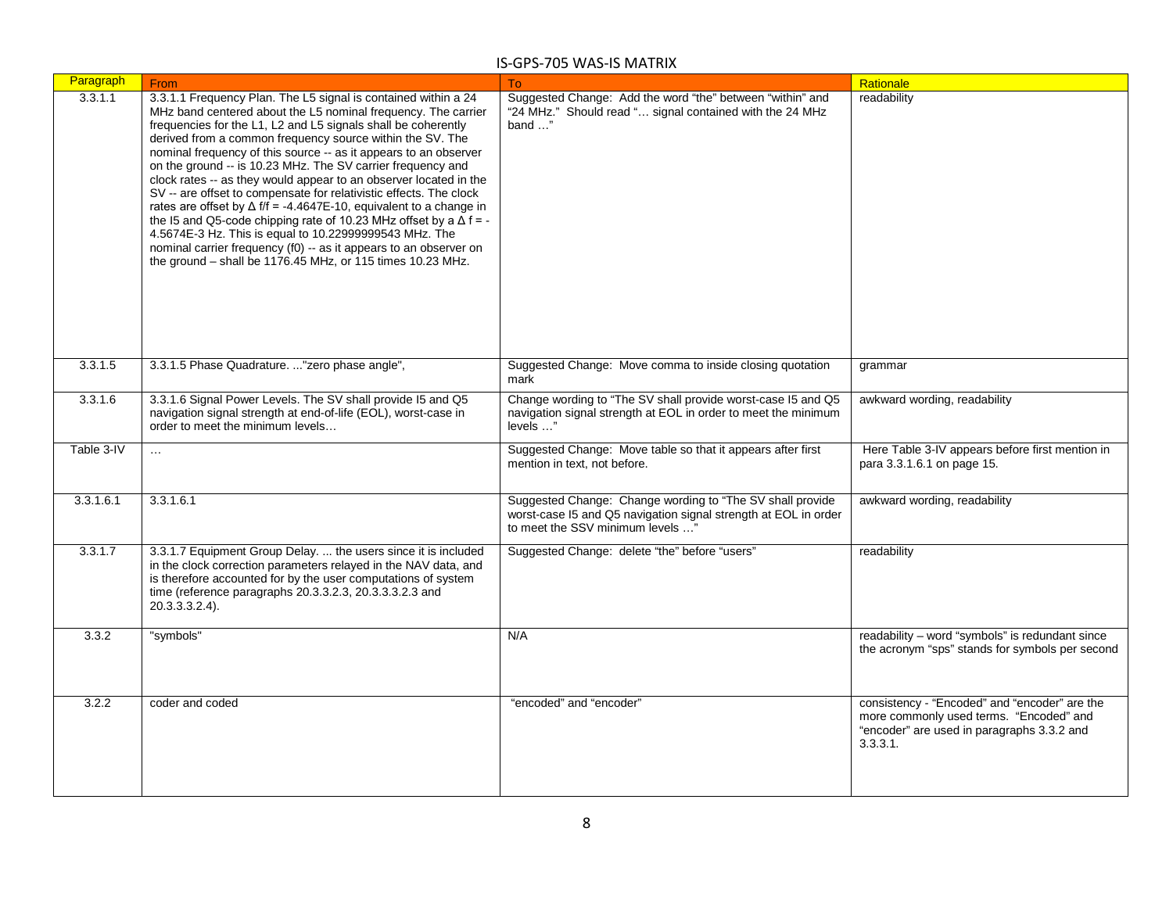| Paragraph  | From                                                                                                                                                                                                                                                                                                                                                                                                                                                                                                                                                                                                                                                                                                                                                                                                                                                                                               | To                                                                                                                                                               | Rationale                                                                                                                                          |
|------------|----------------------------------------------------------------------------------------------------------------------------------------------------------------------------------------------------------------------------------------------------------------------------------------------------------------------------------------------------------------------------------------------------------------------------------------------------------------------------------------------------------------------------------------------------------------------------------------------------------------------------------------------------------------------------------------------------------------------------------------------------------------------------------------------------------------------------------------------------------------------------------------------------|------------------------------------------------------------------------------------------------------------------------------------------------------------------|----------------------------------------------------------------------------------------------------------------------------------------------------|
| 3.3.1.1    | 3.3.1.1 Frequency Plan. The L5 signal is contained within a 24<br>MHz band centered about the L5 nominal frequency. The carrier<br>frequencies for the L1, L2 and L5 signals shall be coherently<br>derived from a common frequency source within the SV. The<br>nominal frequency of this source -- as it appears to an observer<br>on the ground -- is 10.23 MHz. The SV carrier frequency and<br>clock rates -- as they would appear to an observer located in the<br>SV -- are offset to compensate for relativistic effects. The clock<br>rates are offset by $\Delta f/f = -4.4647E-10$ , equivalent to a change in<br>the I5 and Q5-code chipping rate of 10.23 MHz offset by a $\Delta$ f = -<br>4.5674E-3 Hz. This is equal to 10.22999999543 MHz. The<br>nominal carrier frequency (f0) -- as it appears to an observer on<br>the ground - shall be 1176.45 MHz, or 115 times 10.23 MHz. | Suggested Change: Add the word "the" between "within" and<br>"24 MHz." Should read " signal contained with the 24 MHz<br>band "                                  | readability                                                                                                                                        |
| 3.3.1.5    | 3.3.1.5 Phase Quadrature. "zero phase angle",                                                                                                                                                                                                                                                                                                                                                                                                                                                                                                                                                                                                                                                                                                                                                                                                                                                      | Suggested Change: Move comma to inside closing quotation<br>mark                                                                                                 | grammar                                                                                                                                            |
| 3.3.1.6    | 3.3.1.6 Signal Power Levels. The SV shall provide I5 and Q5<br>navigation signal strength at end-of-life (EOL), worst-case in<br>order to meet the minimum levels                                                                                                                                                                                                                                                                                                                                                                                                                                                                                                                                                                                                                                                                                                                                  | Change wording to "The SV shall provide worst-case I5 and Q5<br>navigation signal strength at EOL in order to meet the minimum<br>levels "                       | awkward wording, readability                                                                                                                       |
| Table 3-IV | $\ldots$                                                                                                                                                                                                                                                                                                                                                                                                                                                                                                                                                                                                                                                                                                                                                                                                                                                                                           | Suggested Change: Move table so that it appears after first<br>mention in text. not before.                                                                      | Here Table 3-IV appears before first mention in<br>para 3.3.1.6.1 on page 15.                                                                      |
| 3.3.1.6.1  | 3.3.1.6.1                                                                                                                                                                                                                                                                                                                                                                                                                                                                                                                                                                                                                                                                                                                                                                                                                                                                                          | Suggested Change: Change wording to "The SV shall provide<br>worst-case I5 and Q5 navigation signal strength at EOL in order<br>to meet the SSV minimum levels " | awkward wording, readability                                                                                                                       |
| 3.3.1.7    | 3.3.1.7 Equipment Group Delay.  the users since it is included<br>in the clock correction parameters relayed in the NAV data, and<br>is therefore accounted for by the user computations of system<br>time (reference paragraphs 20.3.3.2.3, 20.3.3.3.2.3 and<br>20.3.3.3.2.4).                                                                                                                                                                                                                                                                                                                                                                                                                                                                                                                                                                                                                    | Suggested Change: delete "the" before "users"                                                                                                                    | readability                                                                                                                                        |
| 3.3.2      | "symbols"                                                                                                                                                                                                                                                                                                                                                                                                                                                                                                                                                                                                                                                                                                                                                                                                                                                                                          | N/A                                                                                                                                                              | readability - word "symbols" is redundant since<br>the acronym "sps" stands for symbols per second                                                 |
| 3.2.2      | coder and coded                                                                                                                                                                                                                                                                                                                                                                                                                                                                                                                                                                                                                                                                                                                                                                                                                                                                                    | "encoded" and "encoder"                                                                                                                                          | consistency - "Encoded" and "encoder" are the<br>more commonly used terms. "Encoded" and<br>"encoder" are used in paragraphs 3.3.2 and<br>3.3.3.1. |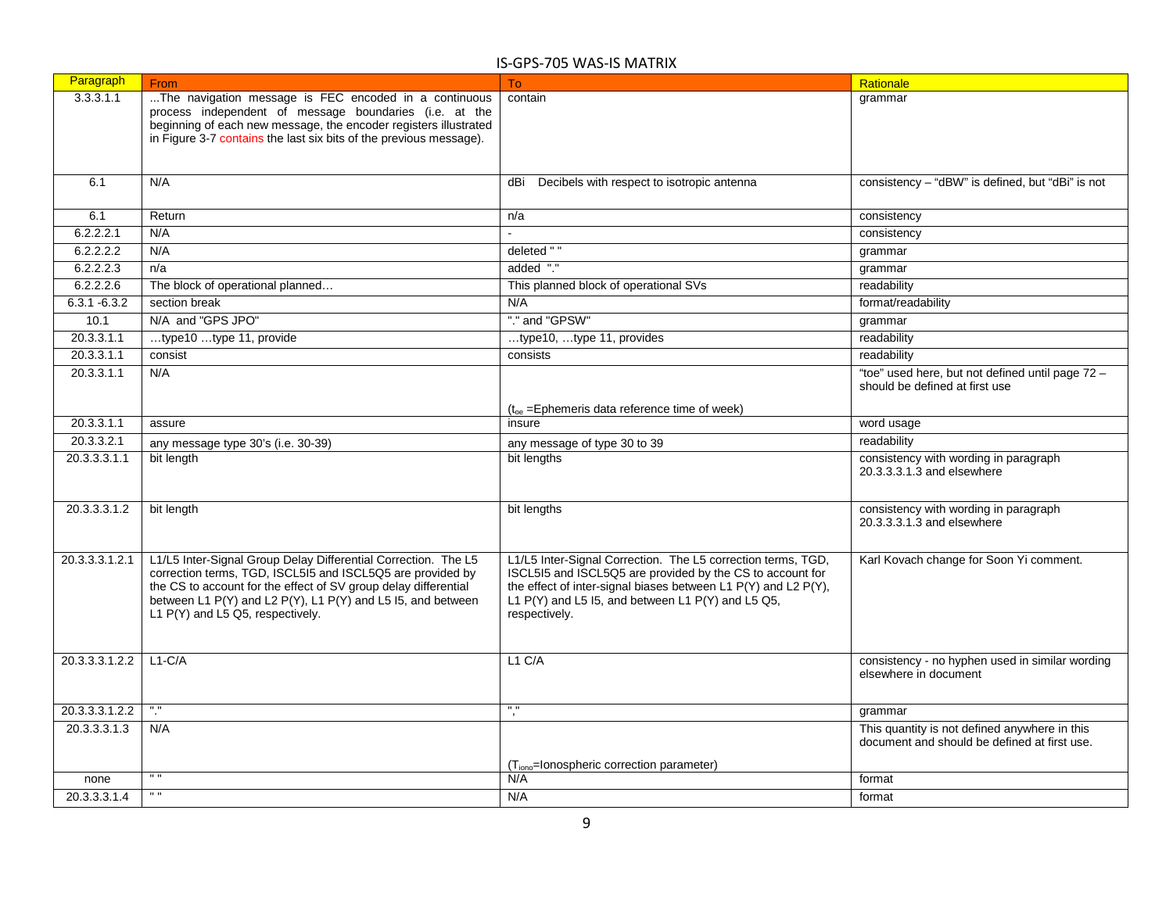| Paragraph       | From                                                               | To:                                                            | Rationale                                                                |
|-----------------|--------------------------------------------------------------------|----------------------------------------------------------------|--------------------------------------------------------------------------|
| 3.3.3.1.1       | The navigation message is FEC encoded in a continuous              | contain                                                        | grammar                                                                  |
|                 | process independent of message boundaries (i.e. at the             |                                                                |                                                                          |
|                 | beginning of each new message, the encoder registers illustrated   |                                                                |                                                                          |
|                 | in Figure 3-7 contains the last six bits of the previous message). |                                                                |                                                                          |
|                 |                                                                    |                                                                |                                                                          |
| 6.1             | N/A                                                                | Decibels with respect to isotropic antenna<br>dBi              | consistency - "dBW" is defined, but "dBi" is not                         |
|                 |                                                                    |                                                                |                                                                          |
| 6.1             | Return                                                             | n/a                                                            | consistency                                                              |
| 6.2.2.2.1       | N/A                                                                |                                                                | consistency                                                              |
| 6.2.2.2.2       | N/A                                                                | deleted " "                                                    | grammar                                                                  |
| 6.2.2.2.3       |                                                                    | added "."                                                      |                                                                          |
|                 | n/a                                                                |                                                                | grammar                                                                  |
| 6.2.2.2.6       | The block of operational planned                                   | This planned block of operational SVs                          | readability                                                              |
| $6.3.1 - 6.3.2$ | section break                                                      | N/A                                                            | format/readability                                                       |
| 10.1            | N/A and "GPS JPO"                                                  | "." and "GPSW"                                                 | grammar                                                                  |
| 20.3.3.1.1      | type10 type 11, provide                                            | type10, type 11, provides                                      | readability                                                              |
| 20.3.3.1.1      | consist                                                            | consists                                                       | readability                                                              |
| 20.3.3.1.1      | N/A                                                                |                                                                | "toe" used here, but not defined until page 72 -                         |
|                 |                                                                    |                                                                | should be defined at first use                                           |
|                 |                                                                    | $(t_{oe} =$ Ephemeris data reference time of week)             |                                                                          |
| 20.3.3.1.1      | assure                                                             | insure                                                         | word usage                                                               |
| 20.3.3.2.1      | any message type 30's (i.e. 30-39)                                 | any message of type 30 to 39                                   | readability                                                              |
| 20.3.3.3.1.1    | bit length                                                         | bit lengths                                                    | consistency with wording in paragraph                                    |
|                 |                                                                    |                                                                | 20.3.3.3.1.3 and elsewhere                                               |
|                 |                                                                    |                                                                |                                                                          |
| 20.3.3.3.1.2    | bit length                                                         | bit lengths                                                    | consistency with wording in paragraph                                    |
|                 |                                                                    |                                                                | 20.3.3.3.1.3 and elsewhere                                               |
|                 |                                                                    |                                                                |                                                                          |
| 20.3.3.3.1.2.1  | L1/L5 Inter-Signal Group Delay Differential Correction. The L5     | L1/L5 Inter-Signal Correction. The L5 correction terms, TGD,   | Karl Kovach change for Soon Yi comment.                                  |
|                 | correction terms, TGD, ISCL5I5 and ISCL5Q5 are provided by         | ISCL5I5 and ISCL5Q5 are provided by the CS to account for      |                                                                          |
|                 | the CS to account for the effect of SV group delay differential    | the effect of inter-signal biases between L1 P(Y) and L2 P(Y), |                                                                          |
|                 | between L1 P(Y) and L2 P(Y), L1 P(Y) and L5 I5, and between        | L1 $P(Y)$ and L5 I5, and between L1 $P(Y)$ and L5 Q5,          |                                                                          |
|                 | L1 P(Y) and L5 Q5, respectively.                                   | respectively.                                                  |                                                                          |
|                 |                                                                    |                                                                |                                                                          |
|                 |                                                                    |                                                                |                                                                          |
| 20.3.3.3.1.2.2  | $L1-C/A$                                                           | L1 C/A                                                         | consistency - no hyphen used in similar wording<br>elsewhere in document |
|                 |                                                                    |                                                                |                                                                          |
|                 |                                                                    | $^{\prime\prime}$                                              |                                                                          |
| 20.3.3.3.1.2.2  | $^{\circ}$                                                         | ٦,                                                             | grammar                                                                  |
| 20.3.3.3.1.3    | N/A                                                                |                                                                | This quantity is not defined anywhere in this                            |
|                 |                                                                    |                                                                | document and should be defined at first use.                             |
|                 |                                                                    | (T <sub>iono</sub> =lonospheric correction parameter)          |                                                                          |
| none            | $\mathbf{u}$                                                       | N/A                                                            | format                                                                   |
| 20.3.3.3.1.4    | $\mathbf{H}$                                                       | N/A                                                            | format                                                                   |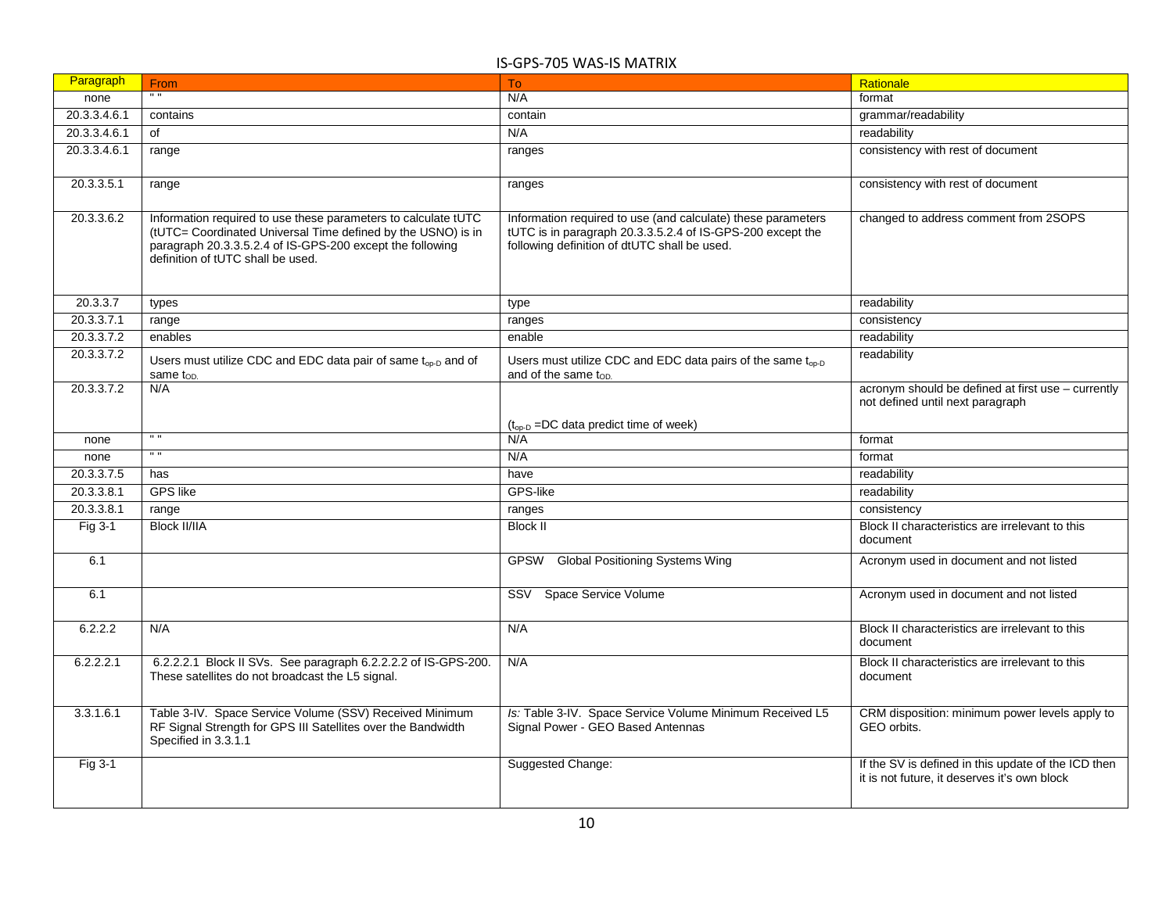| Paragraph    | From                                                                                                                                                                                                                             | T <sub>o</sub>                                                                                                                                                             | Rationale                                                                                           |
|--------------|----------------------------------------------------------------------------------------------------------------------------------------------------------------------------------------------------------------------------------|----------------------------------------------------------------------------------------------------------------------------------------------------------------------------|-----------------------------------------------------------------------------------------------------|
| none         | $\overline{1}$                                                                                                                                                                                                                   | N/A                                                                                                                                                                        | format                                                                                              |
| 20.3.3.4.6.1 | contains                                                                                                                                                                                                                         | contain                                                                                                                                                                    | grammar/readability                                                                                 |
| 20.3.3.4.6.1 | of                                                                                                                                                                                                                               | N/A                                                                                                                                                                        | readability                                                                                         |
| 20.3.3.4.6.1 | range                                                                                                                                                                                                                            | ranges                                                                                                                                                                     | consistency with rest of document                                                                   |
| 20.3.3.5.1   | range                                                                                                                                                                                                                            | ranges                                                                                                                                                                     | consistency with rest of document                                                                   |
| 20.3.3.6.2   | Information required to use these parameters to calculate tUTC<br>(tUTC= Coordinated Universal Time defined by the USNO) is in<br>paragraph 20.3.3.5.2.4 of IS-GPS-200 except the following<br>definition of tUTC shall be used. | Information required to use (and calculate) these parameters<br>tUTC is in paragraph 20.3.3.5.2.4 of IS-GPS-200 except the<br>following definition of dtUTC shall be used. | changed to address comment from 2SOPS                                                               |
| 20.3.3.7     | types                                                                                                                                                                                                                            | type                                                                                                                                                                       | readability                                                                                         |
| 20.3.3.7.1   | range                                                                                                                                                                                                                            | ranges                                                                                                                                                                     | consistency                                                                                         |
| 20.3.3.7.2   | enables                                                                                                                                                                                                                          | enable                                                                                                                                                                     | readability                                                                                         |
| 20.3.3.7.2   | Users must utilize CDC and EDC data pair of same t <sub>op-D</sub> and of<br>same top.                                                                                                                                           | Users must utilize CDC and EDC data pairs of the same t <sub>op-D</sub><br>and of the same $t_{OD.}$                                                                       | readability                                                                                         |
| 20.3.3.7.2   | N/A                                                                                                                                                                                                                              |                                                                                                                                                                            | acronym should be defined at first use - currently<br>not defined until next paragraph              |
| none         | $^{\prime\prime}$                                                                                                                                                                                                                | $(t_{\text{op-D}} = DC$ data predict time of week)<br>N/A                                                                                                                  | format                                                                                              |
| none         | $^{\prime\prime}$                                                                                                                                                                                                                | N/A                                                                                                                                                                        | format                                                                                              |
| 20.3.3.7.5   | has                                                                                                                                                                                                                              | have                                                                                                                                                                       | readability                                                                                         |
| 20.3.3.8.1   | <b>GPS</b> like                                                                                                                                                                                                                  | GPS-like                                                                                                                                                                   | readability                                                                                         |
| 20.3.3.8.1   | range                                                                                                                                                                                                                            | ranges                                                                                                                                                                     | consistency                                                                                         |
| Fig 3-1      | <b>Block II/IIA</b>                                                                                                                                                                                                              | <b>Block II</b>                                                                                                                                                            | Block II characteristics are irrelevant to this<br>document                                         |
| 6.1          |                                                                                                                                                                                                                                  | GPSW Global Positioning Systems Wing                                                                                                                                       | Acronym used in document and not listed                                                             |
| 6.1          |                                                                                                                                                                                                                                  | SSV Space Service Volume                                                                                                                                                   | Acronym used in document and not listed                                                             |
| 6.2.2.2      | N/A                                                                                                                                                                                                                              | N/A                                                                                                                                                                        | Block II characteristics are irrelevant to this<br>document                                         |
| 6.2.2.2.1    | 6.2.2.2.1 Block II SVs. See paragraph 6.2.2.2.2 of IS-GPS-200.<br>These satellites do not broadcast the L5 signal.                                                                                                               | N/A                                                                                                                                                                        | Block II characteristics are irrelevant to this<br>document                                         |
| 3.3.1.6.1    | Table 3-IV. Space Service Volume (SSV) Received Minimum<br>RF Signal Strength for GPS III Satellites over the Bandwidth<br>Specified in 3.3.1.1                                                                                  | Is: Table 3-IV. Space Service Volume Minimum Received L5<br>Signal Power - GEO Based Antennas                                                                              | CRM disposition: minimum power levels apply to<br>GEO orbits.                                       |
| Fig 3-1      |                                                                                                                                                                                                                                  | Suggested Change:                                                                                                                                                          | If the SV is defined in this update of the ICD then<br>it is not future, it deserves it's own block |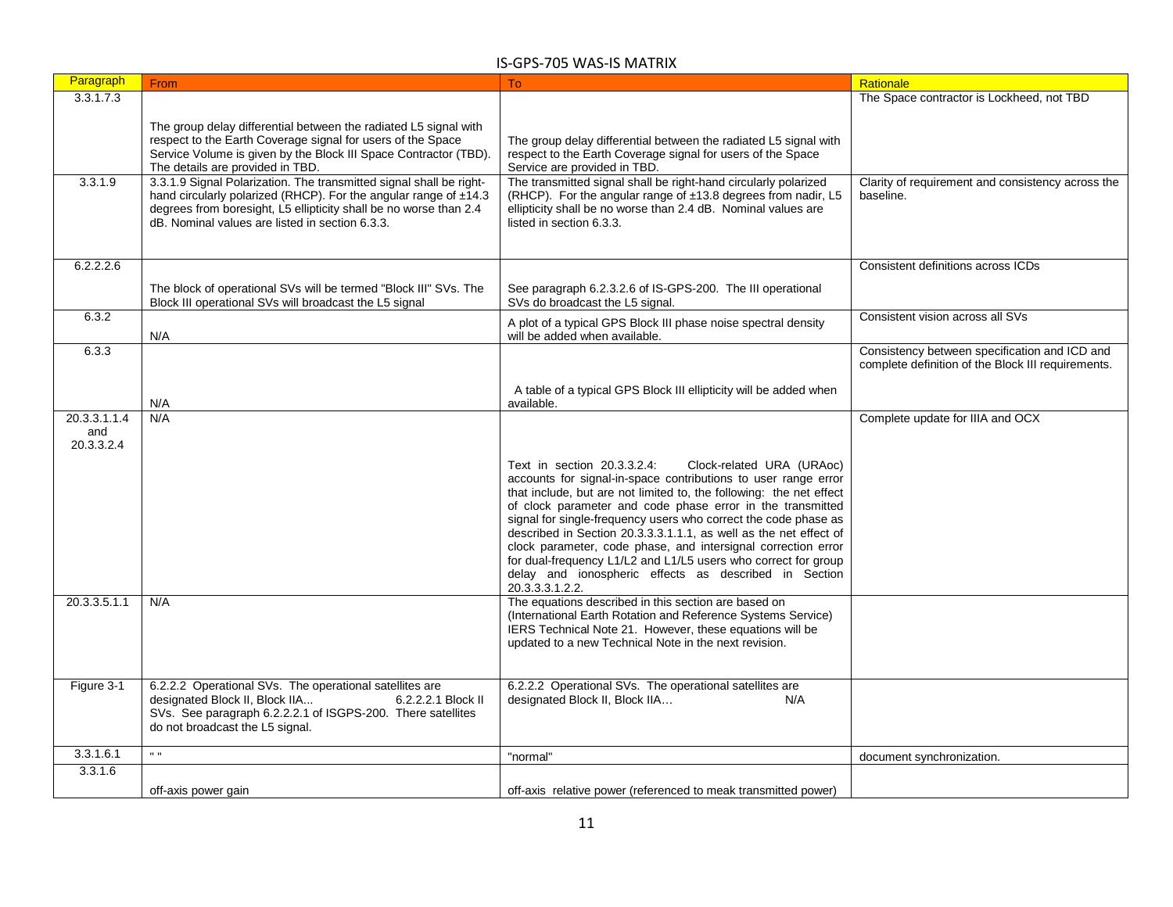| Paragraph                         | From                                                                                                                                                                                                                                                            | To                                                                                                                                                                                                                                                                                                                                                                                                                                                                                                                                                                                                                     | Rationale                                                                                           |
|-----------------------------------|-----------------------------------------------------------------------------------------------------------------------------------------------------------------------------------------------------------------------------------------------------------------|------------------------------------------------------------------------------------------------------------------------------------------------------------------------------------------------------------------------------------------------------------------------------------------------------------------------------------------------------------------------------------------------------------------------------------------------------------------------------------------------------------------------------------------------------------------------------------------------------------------------|-----------------------------------------------------------------------------------------------------|
| 3.3.1.7.3                         |                                                                                                                                                                                                                                                                 |                                                                                                                                                                                                                                                                                                                                                                                                                                                                                                                                                                                                                        | The Space contractor is Lockheed, not TBD                                                           |
|                                   | The group delay differential between the radiated L5 signal with<br>respect to the Earth Coverage signal for users of the Space<br>Service Volume is given by the Block III Space Contractor (TBD).<br>The details are provided in TBD.                         | The group delay differential between the radiated L5 signal with<br>respect to the Earth Coverage signal for users of the Space<br>Service are provided in TBD.                                                                                                                                                                                                                                                                                                                                                                                                                                                        |                                                                                                     |
| 3.3.1.9                           | 3.3.1.9 Signal Polarization. The transmitted signal shall be right-<br>hand circularly polarized (RHCP). For the angular range of ±14.3<br>degrees from boresight, L5 ellipticity shall be no worse than 2.4<br>dB. Nominal values are listed in section 6.3.3. | The transmitted signal shall be right-hand circularly polarized<br>(RHCP). For the angular range of ±13.8 degrees from nadir, L5<br>ellipticity shall be no worse than 2.4 dB. Nominal values are<br>listed in section 6.3.3.                                                                                                                                                                                                                                                                                                                                                                                          | Clarity of requirement and consistency across the<br>baseline.                                      |
| 6.2.2.2.6                         |                                                                                                                                                                                                                                                                 |                                                                                                                                                                                                                                                                                                                                                                                                                                                                                                                                                                                                                        | Consistent definitions across ICDs                                                                  |
|                                   | The block of operational SVs will be termed "Block III" SVs. The<br>Block III operational SVs will broadcast the L5 signal                                                                                                                                      | See paragraph 6.2.3.2.6 of IS-GPS-200. The III operational<br>SVs do broadcast the L5 signal.                                                                                                                                                                                                                                                                                                                                                                                                                                                                                                                          |                                                                                                     |
| 6.3.2                             | N/A                                                                                                                                                                                                                                                             | A plot of a typical GPS Block III phase noise spectral density<br>will be added when available.                                                                                                                                                                                                                                                                                                                                                                                                                                                                                                                        | Consistent vision across all SVs                                                                    |
| 6.3.3                             |                                                                                                                                                                                                                                                                 |                                                                                                                                                                                                                                                                                                                                                                                                                                                                                                                                                                                                                        | Consistency between specification and ICD and<br>complete definition of the Block III requirements. |
|                                   | N/A                                                                                                                                                                                                                                                             | A table of a typical GPS Block III ellipticity will be added when<br>available.                                                                                                                                                                                                                                                                                                                                                                                                                                                                                                                                        |                                                                                                     |
| 20.3.3.1.1.4<br>and<br>20.3.3.2.4 | N/A                                                                                                                                                                                                                                                             |                                                                                                                                                                                                                                                                                                                                                                                                                                                                                                                                                                                                                        | Complete update for IIIA and OCX                                                                    |
|                                   |                                                                                                                                                                                                                                                                 | Text in section 20.3.3.2.4:<br>Clock-related URA (URAoc)<br>accounts for signal-in-space contributions to user range error<br>that include, but are not limited to, the following: the net effect<br>of clock parameter and code phase error in the transmitted<br>signal for single-frequency users who correct the code phase as<br>described in Section 20.3.3.3.1.1.1, as well as the net effect of<br>clock parameter, code phase, and intersignal correction error<br>for dual-frequency L1/L2 and L1/L5 users who correct for group<br>delay and ionospheric effects as described in Section<br>20.3.3.3.1.2.2. |                                                                                                     |
| 20.3.3.5.1.1                      | N/A                                                                                                                                                                                                                                                             | The equations described in this section are based on<br>(International Earth Rotation and Reference Systems Service)<br>IERS Technical Note 21. However, these equations will be<br>updated to a new Technical Note in the next revision.                                                                                                                                                                                                                                                                                                                                                                              |                                                                                                     |
| Figure 3-1                        | 6.2.2.2 Operational SVs. The operational satellites are<br>designated Block II, Block IIA<br>6.2.2.2.1 Block II<br>SVs. See paragraph 6.2.2.2.1 of ISGPS-200. There satellites<br>do not broadcast the L5 signal.                                               | 6.2.2.2 Operational SVs. The operational satellites are<br>designated Block II, Block IIA<br>N/A                                                                                                                                                                                                                                                                                                                                                                                                                                                                                                                       |                                                                                                     |
| 3.3.1.6.1                         | $\mathbf{u}\cdot\mathbf{u}$                                                                                                                                                                                                                                     | "normal"                                                                                                                                                                                                                                                                                                                                                                                                                                                                                                                                                                                                               | document synchronization.                                                                           |
| 3.3.1.6                           |                                                                                                                                                                                                                                                                 |                                                                                                                                                                                                                                                                                                                                                                                                                                                                                                                                                                                                                        |                                                                                                     |
|                                   | off-axis power gain                                                                                                                                                                                                                                             | off-axis relative power (referenced to meak transmitted power)                                                                                                                                                                                                                                                                                                                                                                                                                                                                                                                                                         |                                                                                                     |